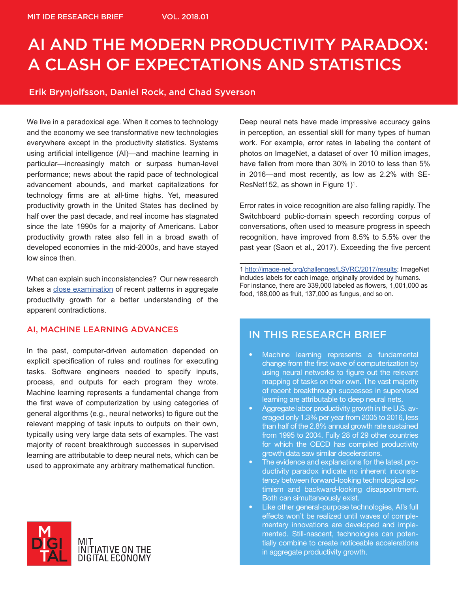### AI AND THE MODERN PRODUCTIVITY PARADOX: A CLASH OF EXPECTATIONS AND STATISTICS

#### Erik Brynjolfsson, Daniel Rock, and Chad Syverson

We live in a paradoxical age. When it comes to technology and the economy we see transformative new technologies everywhere except in the productivity statistics. Systems using artificial intelligence (AI)—and machine learning in particular—increasingly match or surpass human-level performance; news about the rapid pace of technological advancement abounds, and market capitalizations for technology firms are at all-time highs. Yet, measured productivity growth in the United States has declined by half over the past decade, and real income has stagnated since the late 1990s for a majority of Americans. Labor productivity growth rates also fell in a broad swath of developed economies in the mid-2000s, and have stayed low since then.

What can explain such inconsistencies? Our new research takes a close examination of recent patterns in aggregate productivity growth for a better understanding of the apparent contradictions.

#### AI, MACHINE LEARNING ADVANCES

In the past, computer-driven automation depended on explicit specification of rules and routines for executing tasks. Software engineers needed to specify inputs, process, and outputs for each program they wrote. Machine learning represents a fundamental change from the first wave of computerization by using categories of general algorithms (e.g., neural networks) to figure out the relevant mapping of task inputs to outputs on their own, typically using very large data sets of examples. The vast majority of recent breakthrough successes in supervised learning are attributable to deep neural nets, which can be used to approximate any arbitrary mathematical function.



Deep neural nets have made impressive accuracy gains in perception, an essential skill for many types of human work. For example, error rates in labeling the content of photos on ImageNet, a dataset of over 10 million images, have fallen from more than 30% in 2010 to less than 5% in 2016—and most recently, as low as 2.2% with SE-ResNet152, as shown in Figure 1)<sup>1</sup>.

Error rates in voice recognition are also falling rapidly. The Switchboard public-domain speech recording corpus of conversations, often used to measure progress in speech recognition, have improved from 8.5% to 5.5% over the past year (Saon et al., 2017). Exceeding the five percent

1 http://image-net.org/challenges/LSVRC/2017/results; ImageNet includes labels for each image, originally provided by humans. For instance, there are 339,000 labeled as flowers, 1,001,000 as food, 188,000 as fruit, 137,000 as fungus, and so on.

### IN THIS RESEARCH BRIEF

- Machine learning represents a fundamental change from the first wave of computerization by using neural networks to figure out the relevant mapping of tasks on their own. The vast majority of recent breakthrough successes in supervised learning are attributable to deep neural nets.
- Aggregate labor productivity growth in the U.S. averaged only 1.3% per year from 2005 to 2016, less than half of the 2.8% annual growth rate sustained from 1995 to 2004. Fully 28 of 29 other countries for which the OECD has compiled productivity growth data saw similar decelerations.
- The evidence and explanations for the latest productivity paradox indicate no inherent inconsistency between forward-looking technological optimism and backward-looking disappointment. Both can simultaneously exist.
- Like other general-purpose technologies, AI's full effects won't be realized until waves of complementary innovations are developed and implemented. Still-nascent, technologies can potentially combine to create noticeable accelerations in aggregate productivity growth.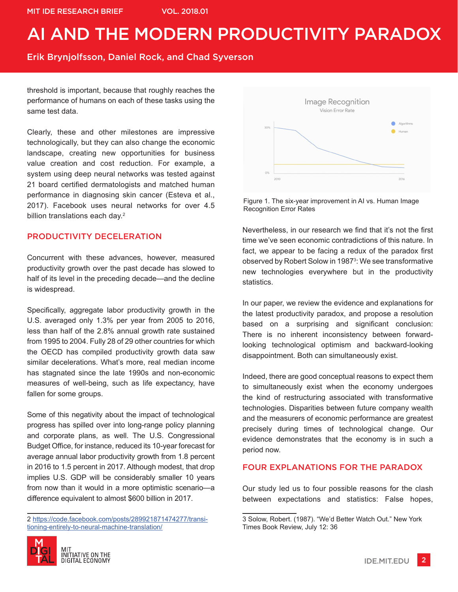Erik Brynjolfsson, Daniel Rock, and Chad Syverson

threshold is important, because that roughly reaches the performance of humans on each of these tasks using the same test data.

Clearly, these and other milestones are impressive technologically, but they can also change the economic landscape, creating new opportunities for business value creation and cost reduction. For example, a system using deep neural networks was tested against 21 board certified dermatologists and matched human performance in diagnosing skin cancer (Esteva et al., 2017). Facebook uses neural networks for over 4.5 billion translations each day.<sup>2</sup>

#### PRODUCTIVITY DECELERATION

Concurrent with these advances, however, measured productivity growth over the past decade has slowed to half of its level in the preceding decade—and the decline is widespread.

Specifically, aggregate labor productivity growth in the U.S. averaged only 1.3% per year from 2005 to 2016, less than half of the 2.8% annual growth rate sustained from 1995 to 2004. Fully 28 of 29 other countries for which the OECD has compiled productivity growth data saw similar decelerations. What's more, real median income has stagnated since the late 1990s and non-economic measures of well-being, such as life expectancy, have fallen for some groups.

Some of this negativity about the impact of technological progress has spilled over into long-range policy planning and corporate plans, as well. The U.S. Congressional Budget Office, for instance, reduced its 10-year forecast for average annual labor productivity growth from 1.8 percent in 2016 to 1.5 percent in 2017. Although modest, that drop implies U.S. GDP will be considerably smaller 10 years from now than it would in a more optimistic scenario—a difference equivalent to almost \$600 billion in 2017.

<sup>2</sup> https://code.facebook.com/posts/289921871474277/transitioning-entirely-to-neural-machine-translation/





Figure 1. The six-year improvement in AI vs. Human Image Recognition Error Rates

Nevertheless, in our research we find that it's not the first time we've seen economic contradictions of this nature. In fact, we appear to be facing a redux of the paradox first observed by Robert Solow in 1987<sup>3</sup>: We see transformative new technologies everywhere but in the productivity statistics.

In our paper, we review the evidence and explanations for the latest productivity paradox, and propose a resolution based on a surprising and significant conclusion: There is no inherent inconsistency between forwardlooking technological optimism and backward-looking disappointment. Both can simultaneously exist.

Indeed, there are good conceptual reasons to expect them to simultaneously exist when the economy undergoes the kind of restructuring associated with transformative technologies. Disparities between future company wealth and the measurers of economic performance are greatest precisely during times of technological change. Our evidence demonstrates that the economy is in such a period now.

#### FOUR EXPLANATIONS FOR THE PARADOX

Our study led us to four possible reasons for the clash between expectations and statistics: False hopes,

<sup>3</sup> Solow, Robert. (1987). "We'd Better Watch Out." New York Times Book Review, July 12: 36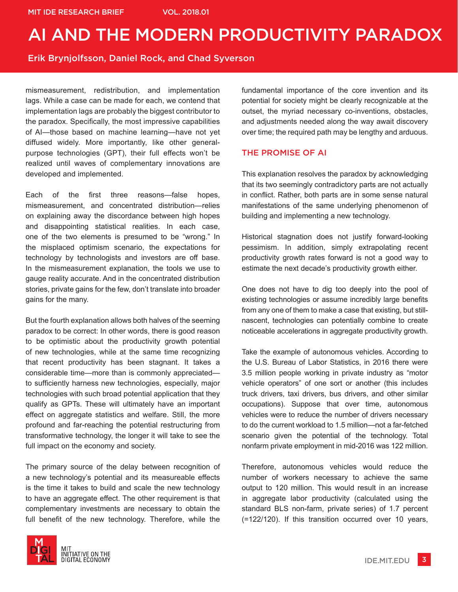#### Erik Brynjolfsson, Daniel Rock, and Chad Syverson

mismeasurement, redistribution, and implementation lags. While a case can be made for each, we contend that implementation lags are probably the biggest contributor to the paradox. Specifically, the most impressive capabilities of AI—those based on machine learning—have not yet diffused widely. More importantly, like other generalpurpose technologies (GPT), their full effects won't be realized until waves of complementary innovations are developed and implemented.

Each of the first three reasons—false hopes, mismeasurement, and concentrated distribution—relies on explaining away the discordance between high hopes and disappointing statistical realities. In each case, one of the two elements is presumed to be "wrong." In the misplaced optimism scenario, the expectations for technology by technologists and investors are off base. In the mismeasurement explanation, the tools we use to gauge reality accurate. And in the concentrated distribution stories, private gains for the few, don't translate into broader gains for the many.

But the fourth explanation allows both halves of the seeming paradox to be correct: In other words, there is good reason to be optimistic about the productivity growth potential of new technologies, while at the same time recognizing that recent productivity has been stagnant. It takes a considerable time—more than is commonly appreciated to sufficiently harness new technologies, especially, major technologies with such broad potential application that they qualify as GPTs. These will ultimately have an important effect on aggregate statistics and welfare. Still, the more profound and far-reaching the potential restructuring from transformative technology, the longer it will take to see the full impact on the economy and society.

The primary source of the delay between recognition of a new technology's potential and its measureable effects is the time it takes to build and scale the new technology to have an aggregate effect. The other requirement is that complementary investments are necessary to obtain the full benefit of the new technology. Therefore, while the



fundamental importance of the core invention and its potential for society might be clearly recognizable at the outset, the myriad necessary co-inventions, obstacles, and adjustments needed along the way await discovery over time; the required path may be lengthy and arduous.

#### THE PROMISE OF AI

This explanation resolves the paradox by acknowledging that its two seemingly contradictory parts are not actually in conflict. Rather, both parts are in some sense natural manifestations of the same underlying phenomenon of building and implementing a new technology.

Historical stagnation does not justify forward-looking pessimism. In addition, simply extrapolating recent productivity growth rates forward is not a good way to estimate the next decade's productivity growth either.

One does not have to dig too deeply into the pool of existing technologies or assume incredibly large benefits from any one of them to make a case that existing, but stillnascent, technologies can potentially combine to create noticeable accelerations in aggregate productivity growth.

Take the example of autonomous vehicles. According to the U.S. Bureau of Labor Statistics, in 2016 there were 3.5 million people working in private industry as "motor vehicle operators" of one sort or another (this includes truck drivers, taxi drivers, bus drivers, and other similar occupations). Suppose that over time, autonomous vehicles were to reduce the number of drivers necessary to do the current workload to 1.5 million—not a far-fetched scenario given the potential of the technology. Total nonfarm private employment in mid-2016 was 122 million.

Therefore, autonomous vehicles would reduce the number of workers necessary to achieve the same output to 120 million. This would result in an increase in aggregate labor productivity (calculated using the standard BLS non-farm, private series) of 1.7 percent (=122/120). If this transition occurred over 10 years,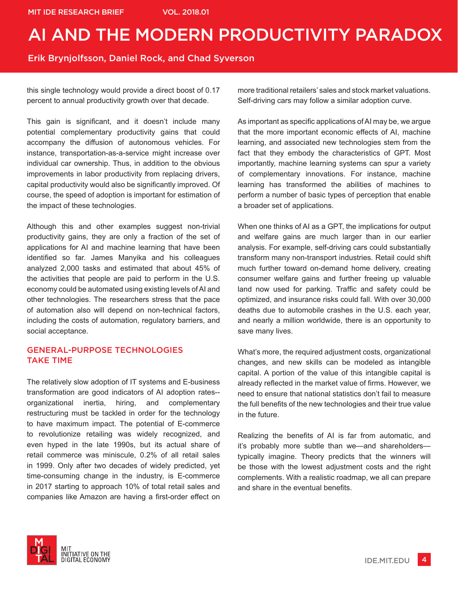Erik Brynjolfsson, Daniel Rock, and Chad Syverson

this single technology would provide a direct boost of 0.17 percent to annual productivity growth over that decade.

This gain is significant, and it doesn't include many potential complementary productivity gains that could accompany the diffusion of autonomous vehicles. For instance, transportation-as-a-service might increase over individual car ownership. Thus, in addition to the obvious improvements in labor productivity from replacing drivers, capital productivity would also be significantly improved. Of course, the speed of adoption is important for estimation of the impact of these technologies.

Although this and other examples suggest non-trivial productivity gains, they are only a fraction of the set of applications for AI and machine learning that have been identified so far. James Manyika and his colleagues analyzed 2,000 tasks and estimated that about 45% of the activities that people are paid to perform in the U.S. economy could be automated using existing levels of AI and other technologies. The researchers stress that the pace of automation also will depend on non-technical factors, including the costs of automation, regulatory barriers, and social acceptance.

#### GENERAL-PURPOSE TECHNOLOGIES TAKE TIME

The relatively slow adoption of IT systems and E-business transformation are good indicators of AI adoption rates- organizational inertia, hiring, and complementary restructuring must be tackled in order for the technology to have maximum impact. The potential of E-commerce to revolutionize retailing was widely recognized, and even hyped in the late 1990s, but its actual share of retail commerce was miniscule, 0.2% of all retail sales in 1999. Only after two decades of widely predicted, yet time-consuming change in the industry, is E-commerce in 2017 starting to approach 10% of total retail sales and companies like Amazon are having a first-order effect on more traditional retailers' sales and stock market valuations. Self-driving cars may follow a similar adoption curve.

As important as specific applications of AI may be, we argue that the more important economic effects of AI, machine learning, and associated new technologies stem from the fact that they embody the characteristics of GPT. Most importantly, machine learning systems can spur a variety of complementary innovations. For instance, machine learning has transformed the abilities of machines to perform a number of basic types of perception that enable a broader set of applications.

When one thinks of AI as a GPT, the implications for output and welfare gains are much larger than in our earlier analysis. For example, self-driving cars could substantially transform many non-transport industries. Retail could shift much further toward on-demand home delivery, creating consumer welfare gains and further freeing up valuable land now used for parking. Traffic and safety could be optimized, and insurance risks could fall. With over 30,000 deaths due to automobile crashes in the U.S. each year, and nearly a million worldwide, there is an opportunity to save many lives.

What's more, the required adjustment costs, organizational changes, and new skills can be modeled as intangible capital. A portion of the value of this intangible capital is already reflected in the market value of firms. However, we need to ensure that national statistics don't fail to measure the full benefits of the new technologies and their true value in the future.

Realizing the benefits of AI is far from automatic, and it's probably more subtle than we—and shareholders typically imagine. Theory predicts that the winners will be those with the lowest adjustment costs and the right complements. With a realistic roadmap, we all can prepare and share in the eventual benefits.